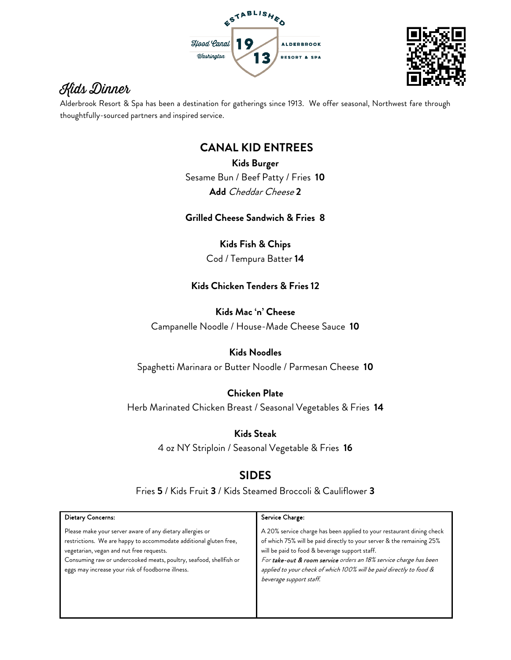



# Kids Dinner

Alderbrook Resort & Spa has been a destination for gatherings since 1913. We offer seasonal, Northwest fare through thoughtfully-sourced partners and inspired service.

## **CANAL KID ENTREES**

**Kids Burger**  Sesame Bun / Beef Patty / Fries **10 Add** Cheddar Cheese **2**

**Grilled Cheese Sandwich & Fries 8**

**Kids Fish & Chips** Cod / Tempura Batter **14**

#### **Kids Chicken Tenders & Fries 12**

**Kids Mac 'n' Cheese**

Campanelle Noodle / House-Made Cheese Sauce **10**

#### **Kids Noodles**

Spaghetti Marinara or Butter Noodle / Parmesan Cheese **10**

### **Chicken Plate**

Herb Marinated Chicken Breast / Seasonal Vegetables & Fries **14**

**Kids Steak**

4 oz NY Striploin / Seasonal Vegetable & Fries **16**

### **SIDES**

Fries **5** / Kids Fruit **3** / Kids Steamed Broccoli & Cauliflower **3**

| Dietary Concerns:                                                                                                                                                                                                                                                                                     | Service Charge:                                                                                                                                                                                                                                                                                                                                                         |
|-------------------------------------------------------------------------------------------------------------------------------------------------------------------------------------------------------------------------------------------------------------------------------------------------------|-------------------------------------------------------------------------------------------------------------------------------------------------------------------------------------------------------------------------------------------------------------------------------------------------------------------------------------------------------------------------|
| Please make your server aware of any dietary allergies or<br>restrictions. We are happy to accommodate additional gluten free,<br>vegetarian, vegan and nut free requests.<br>Consuming raw or undercooked meats, poultry, seafood, shellfish or<br>eggs may increase your risk of foodborne illness. | A 20% service charge has been applied to your restaurant dining check<br>of which 75% will be paid directly to your server & the remaining 25%<br>will be paid to food & beverage support staff.<br>For take-out & room service orders an 18% service charge has been<br>applied to your check of which 100% will be paid directly to food &<br>beverage support staff. |